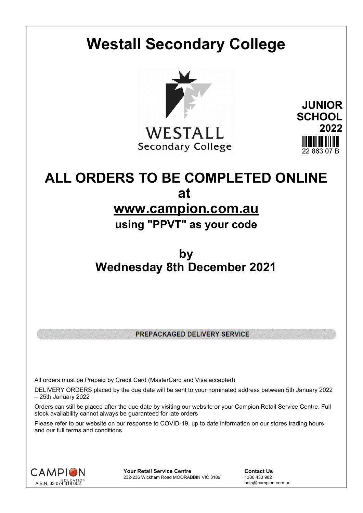# **Westall Secondary College**



WESTALL **Secondary College** 

**JUNIOR SCHOOL 2022** 22 863 07 B

# **ALL ORDERS TO BE COMPLETED ONLINE at www.campion.com.au**

# **using "PPVT" as your code**

# **by Wednesday 8th December 2021**

PREPACKAGED DELIVERY SERVICE

All orders must be Prepaid by Credit Card (MasterCard and Visa accepted)

DELIVERY ORDERS placed by the due date will be sent to your nominated address between 5th January 2022 – 25th January 2022

Orders can still be placed after the due date by visiting our website or your Campion Retail Service Centre. Full stock availability cannot always be guaranteed for late orders

Please refer to our website on our response to COVID-19, up to date information on our stores trading hours and our full terms and conditions



**Your Retail Service Centre Contact Us**<br>232-236 Wickham Road MOORABBIN VIC 3189 1300 433 982 232-236 Wickham Road MOORABBIN VIC 3189

help@campion.com.au